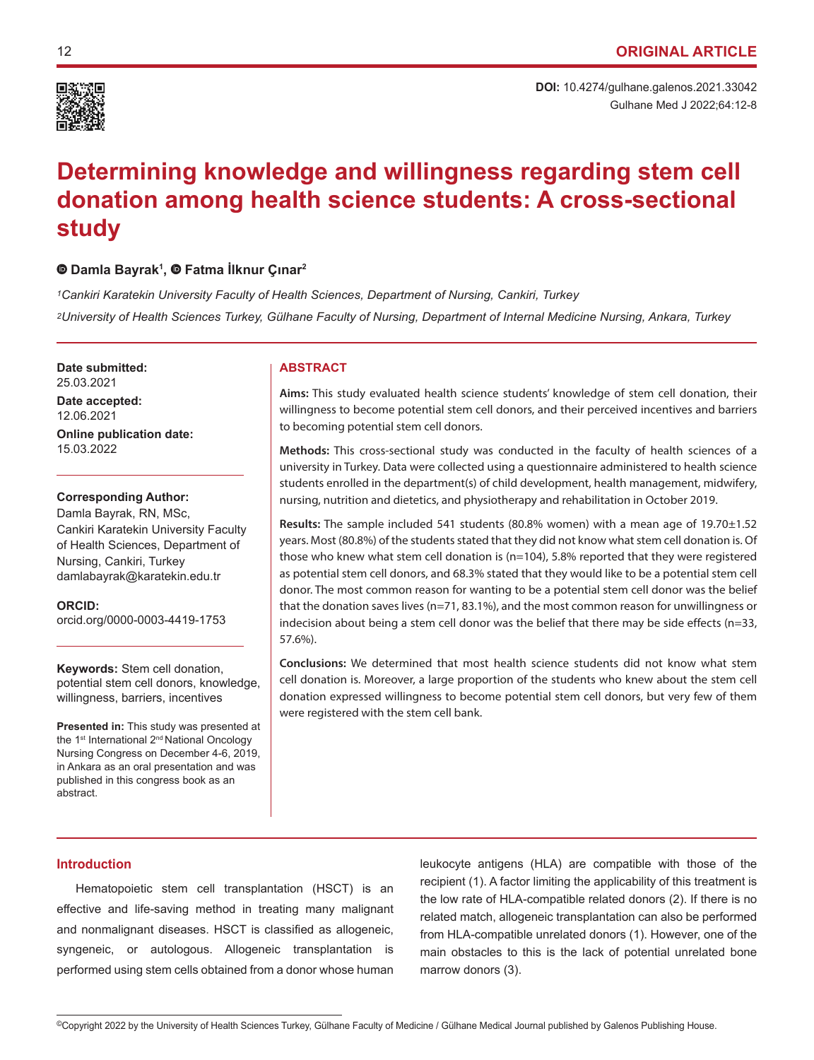

# **Determining knowledge and willingness regarding stem cell donation among health science students: A cross-sectional study**

# **Damla Bayrak1 , Fatma İlknur Çınar<sup>2</sup>**

*1Cankiri Karatekin University Faculty of Health Sciences, Department of Nursing, Cankiri, Turkey 2University of Health Sciences Turkey, Gülhane Faculty of Nursing, Department of Internal Medicine Nursing, Ankara, Turkey*

**Date submitted: ABSTRACT** 25.03.2021 **Date accepted:** 12.06.2021 **Online publication date:** 15.03.2022

# **Corresponding Author:**

Damla Bayrak, RN, MSc, Cankiri Karatekin University Faculty of Health Sciences, Department of Nursing, Cankiri, Turkey damlabayrak@karatekin.edu.tr

**ORCID:**  orcid.org/0000-0003-4419-1753

# **Keywords:** Stem cell donation, potential stem cell donors, knowledge, willingness, barriers, incentives

**Presented in:** This study was presented at the 1<sup>st</sup> International 2<sup>nd</sup> National Oncology Nursing Congress on December 4-6, 2019, in Ankara as an oral presentation and was published in this congress book as an abstract.

**Aims:** This study evaluated health science students' knowledge of stem cell donation, their willingness to become potential stem cell donors, and their perceived incentives and barriers to becoming potential stem cell donors.

**Methods:** This cross-sectional study was conducted in the faculty of health sciences of a university in Turkey. Data were collected using a questionnaire administered to health science students enrolled in the department(s) of child development, health management, midwifery, nursing, nutrition and dietetics, and physiotherapy and rehabilitation in October 2019.

**Results:** The sample included 541 students (80.8% women) with a mean age of 19.70±1.52 years. Most (80.8%) of the students stated that they did not know what stem cell donation is. Of those who knew what stem cell donation is  $(n=104)$ , 5.8% reported that they were registered as potential stem cell donors, and 68.3% stated that they would like to be a potential stem cell donor. The most common reason for wanting to be a potential stem cell donor was the belief that the donation saves lives (n=71, 83.1%), and the most common reason for unwillingness or indecision about being a stem cell donor was the belief that there may be side effects (n=33, 57.6%).

**Conclusions:** We determined that most health science students did not know what stem cell donation is. Moreover, a large proportion of the students who knew about the stem cell donation expressed willingness to become potential stem cell donors, but very few of them were registered with the stem cell bank.

# **Introduction**

Hematopoietic stem cell transplantation (HSCT) is an effective and life-saving method in treating many malignant and nonmalignant diseases. HSCT is classified as allogeneic, syngeneic, or autologous. Allogeneic transplantation is performed using stem cells obtained from a donor whose human

leukocyte antigens (HLA) are compatible with those of the recipient (1). A factor limiting the applicability of this treatment is the low rate of HLA-compatible related donors (2). If there is no related match, allogeneic transplantation can also be performed from HLA-compatible unrelated donors (1). However, one of the main obstacles to this is the lack of potential unrelated bone marrow donors (3).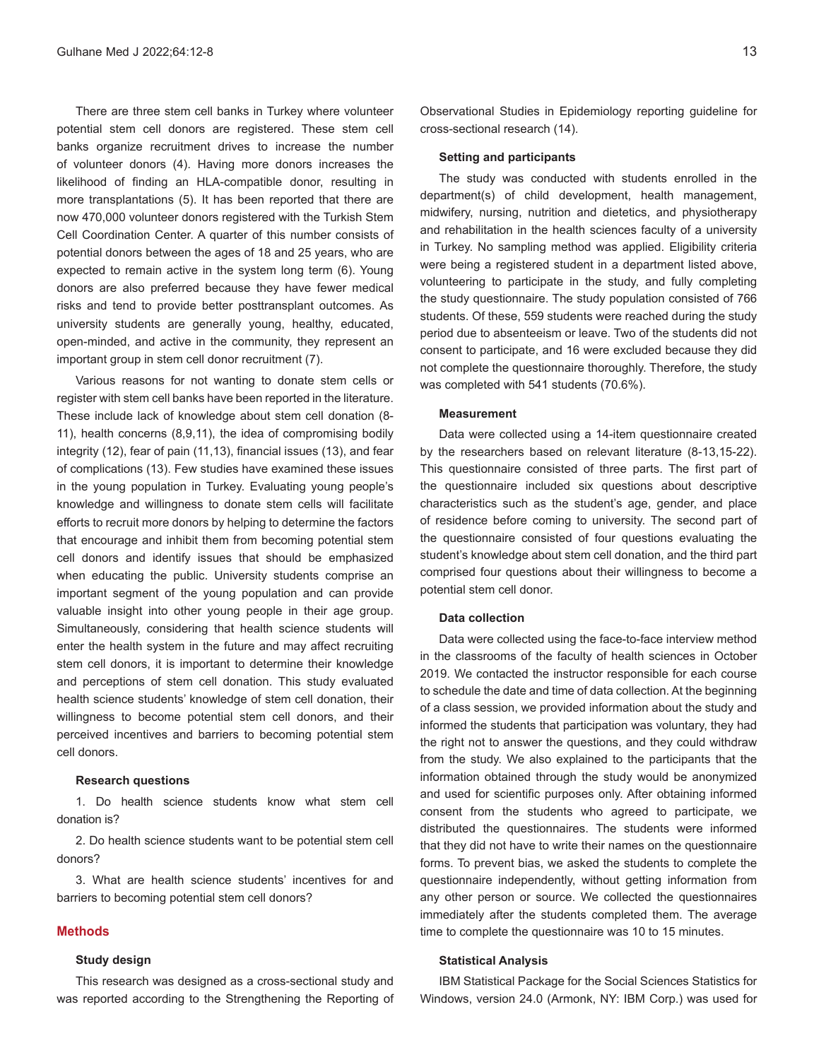There are three stem cell banks in Turkey where volunteer potential stem cell donors are registered. These stem cell banks organize recruitment drives to increase the number of volunteer donors (4). Having more donors increases the likelihood of finding an HLA-compatible donor, resulting in more transplantations (5). It has been reported that there are now 470,000 volunteer donors registered with the Turkish Stem Cell Coordination Center. A quarter of this number consists of potential donors between the ages of 18 and 25 years, who are expected to remain active in the system long term (6). Young donors are also preferred because they have fewer medical risks and tend to provide better posttransplant outcomes. As university students are generally young, healthy, educated, open-minded, and active in the community, they represent an important group in stem cell donor recruitment (7).

Various reasons for not wanting to donate stem cells or register with stem cell banks have been reported in the literature. These include lack of knowledge about stem cell donation (8- 11), health concerns (8,9,11), the idea of compromising bodily integrity (12), fear of pain (11,13), financial issues (13), and fear of complications (13). Few studies have examined these issues in the young population in Turkey. Evaluating young people's knowledge and willingness to donate stem cells will facilitate efforts to recruit more donors by helping to determine the factors that encourage and inhibit them from becoming potential stem cell donors and identify issues that should be emphasized when educating the public. University students comprise an important segment of the young population and can provide valuable insight into other young people in their age group. Simultaneously, considering that health science students will enter the health system in the future and may affect recruiting stem cell donors, it is important to determine their knowledge and perceptions of stem cell donation. This study evaluated health science students' knowledge of stem cell donation, their willingness to become potential stem cell donors, and their perceived incentives and barriers to becoming potential stem cell donors.

#### **Research questions**

1. Do health science students know what stem cell donation is?

2. Do health science students want to be potential stem cell donors?

3. What are health science students' incentives for and barriers to becoming potential stem cell donors?

### **Methods**

### **Study design**

This research was designed as a cross-sectional study and was reported according to the Strengthening the Reporting of Observational Studies in Epidemiology reporting guideline for cross-sectional research (14).

#### **Setting and participants**

The study was conducted with students enrolled in the department(s) of child development, health management, midwifery, nursing, nutrition and dietetics, and physiotherapy and rehabilitation in the health sciences faculty of a university in Turkey. No sampling method was applied. Eligibility criteria were being a registered student in a department listed above, volunteering to participate in the study, and fully completing the study questionnaire. The study population consisted of 766 students. Of these, 559 students were reached during the study period due to absenteeism or leave. Two of the students did not consent to participate, and 16 were excluded because they did not complete the questionnaire thoroughly. Therefore, the study was completed with 541 students (70.6%).

#### **Measurement**

Data were collected using a 14-item questionnaire created by the researchers based on relevant literature (8-13,15-22). This questionnaire consisted of three parts. The first part of the questionnaire included six questions about descriptive characteristics such as the student's age, gender, and place of residence before coming to university. The second part of the questionnaire consisted of four questions evaluating the student's knowledge about stem cell donation, and the third part comprised four questions about their willingness to become a potential stem cell donor.

#### **Data collection**

Data were collected using the face-to-face interview method in the classrooms of the faculty of health sciences in October 2019. We contacted the instructor responsible for each course to schedule the date and time of data collection. At the beginning of a class session, we provided information about the study and informed the students that participation was voluntary, they had the right not to answer the questions, and they could withdraw from the study. We also explained to the participants that the information obtained through the study would be anonymized and used for scientific purposes only. After obtaining informed consent from the students who agreed to participate, we distributed the questionnaires. The students were informed that they did not have to write their names on the questionnaire forms. To prevent bias, we asked the students to complete the questionnaire independently, without getting information from any other person or source. We collected the questionnaires immediately after the students completed them. The average time to complete the questionnaire was 10 to 15 minutes.

#### **Statistical Analysis**

IBM Statistical Package for the Social Sciences Statistics for Windows, version 24.0 (Armonk, NY: IBM Corp.) was used for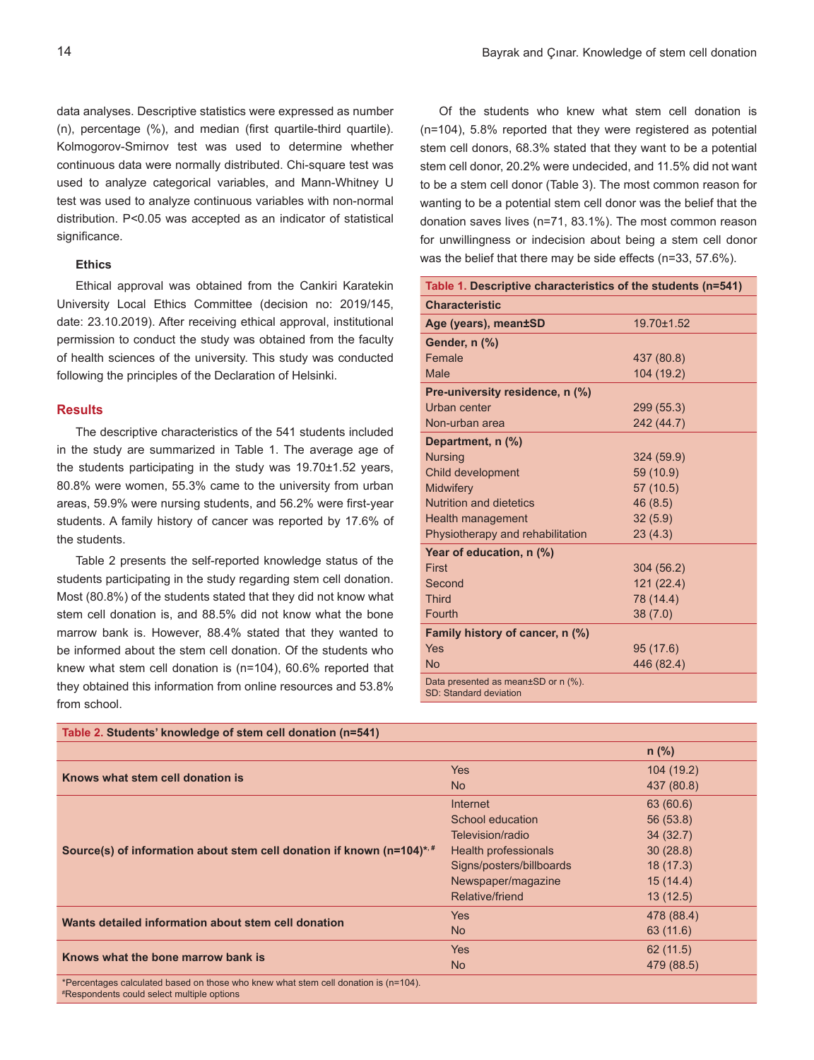data analyses. Descriptive statistics were expressed as number (n), percentage (%), and median (first quartile-third quartile). Kolmogorov-Smirnov test was used to determine whether continuous data were normally distributed. Chi-square test was used to analyze categorical variables, and Mann-Whitney U test was used to analyze continuous variables with non-normal distribution. P<0.05 was accepted as an indicator of statistical significance.

# **Ethics**

Ethical approval was obtained from the Cankiri Karatekin University Local Ethics Committee (decision no: 2019/145, date: 23.10.2019). After receiving ethical approval, institutional permission to conduct the study was obtained from the faculty of health sciences of the university. This study was conducted following the principles of the Declaration of Helsinki.

## **Results**

The descriptive characteristics of the 541 students included in the study are summarized in Table 1. The average age of the students participating in the study was 19.70±1.52 years, 80.8% were women, 55.3% came to the university from urban areas, 59.9% were nursing students, and 56.2% were first-year students. A family history of cancer was reported by 17.6% of the students.

Table 2 presents the self-reported knowledge status of the students participating in the study regarding stem cell donation. Most (80.8%) of the students stated that they did not know what stem cell donation is, and 88.5% did not know what the bone marrow bank is. However, 88.4% stated that they wanted to be informed about the stem cell donation. Of the students who knew what stem cell donation is (n=104), 60.6% reported that they obtained this information from online resources and 53.8% from school.

Of the students who knew what stem cell donation is (n=104), 5.8% reported that they were registered as potential stem cell donors, 68.3% stated that they want to be a potential stem cell donor, 20.2% were undecided, and 11.5% did not want to be a stem cell donor (Table 3). The most common reason for wanting to be a potential stem cell donor was the belief that the donation saves lives (n=71, 83.1%). The most common reason for unwillingness or indecision about being a stem cell donor was the belief that there may be side effects (n=33, 57.6%).

| Table 1. Descriptive characteristics of the students (n=541)  |            |  |  |
|---------------------------------------------------------------|------------|--|--|
| <b>Characteristic</b>                                         |            |  |  |
| Age (years), mean±SD                                          | 19.70±1.52 |  |  |
| Gender, n (%)                                                 |            |  |  |
| Female                                                        | 437 (80.8) |  |  |
| Male                                                          | 104 (19.2) |  |  |
| Pre-university residence, n (%)                               |            |  |  |
| Urban center                                                  | 299 (55.3) |  |  |
| Non-urban area                                                | 242 (44.7) |  |  |
| Department, n (%)                                             |            |  |  |
| <b>Nursing</b>                                                | 324 (59.9) |  |  |
| Child development                                             | 59 (10.9)  |  |  |
| <b>Midwifery</b>                                              | 57 (10.5)  |  |  |
| <b>Nutrition and dietetics</b>                                | 46 (8.5)   |  |  |
| Health management                                             | 32(5.9)    |  |  |
| Physiotherapy and rehabilitation                              | 23(4.3)    |  |  |
| Year of education, n (%)                                      |            |  |  |
| First                                                         | 304 (56.2) |  |  |
| Second                                                        | 121 (22.4) |  |  |
| <b>Third</b>                                                  | 78 (14.4)  |  |  |
| <b>Fourth</b>                                                 | 38(7.0)    |  |  |
| Family history of cancer, n (%)                               |            |  |  |
| Yes                                                           | 95(17.6)   |  |  |
| <b>No</b>                                                     | 446 (82.4) |  |  |
| Data presented as mean±SD or n (%).<br>SD: Standard deviation |            |  |  |

| Table 2. Students' knowledge of stem cell donation (n=541)                                                                        |                          |            |
|-----------------------------------------------------------------------------------------------------------------------------------|--------------------------|------------|
|                                                                                                                                   |                          | $n$ (%)    |
|                                                                                                                                   | <b>Yes</b>               | 104(19.2)  |
| Knows what stem cell donation is                                                                                                  | <b>No</b>                | 437 (80.8) |
|                                                                                                                                   | Internet                 | 63 (60.6)  |
|                                                                                                                                   | School education         | 56 (53.8)  |
|                                                                                                                                   | Television/radio         | 34(32.7)   |
| Source(s) of information about stem cell donation if known ( $n=104$ )*.                                                          | Health professionals     | 30(28.8)   |
|                                                                                                                                   | Signs/posters/billboards | 18(17.3)   |
|                                                                                                                                   | Newspaper/magazine       | 15(14.4)   |
|                                                                                                                                   | Relative/friend          | 13(12.5)   |
| Wants detailed information about stem cell donation                                                                               | <b>Yes</b>               | 478 (88.4) |
|                                                                                                                                   | N <sub>o</sub>           | 63 (11.6)  |
|                                                                                                                                   | <b>Yes</b>               | 62(11.5)   |
| Knows what the bone marrow bank is                                                                                                | N <sub>o</sub>           | 479 (88.5) |
| *Percentages calculated based on those who knew what stem cell donation is (n=104).<br>*Respondents could select multiple options |                          |            |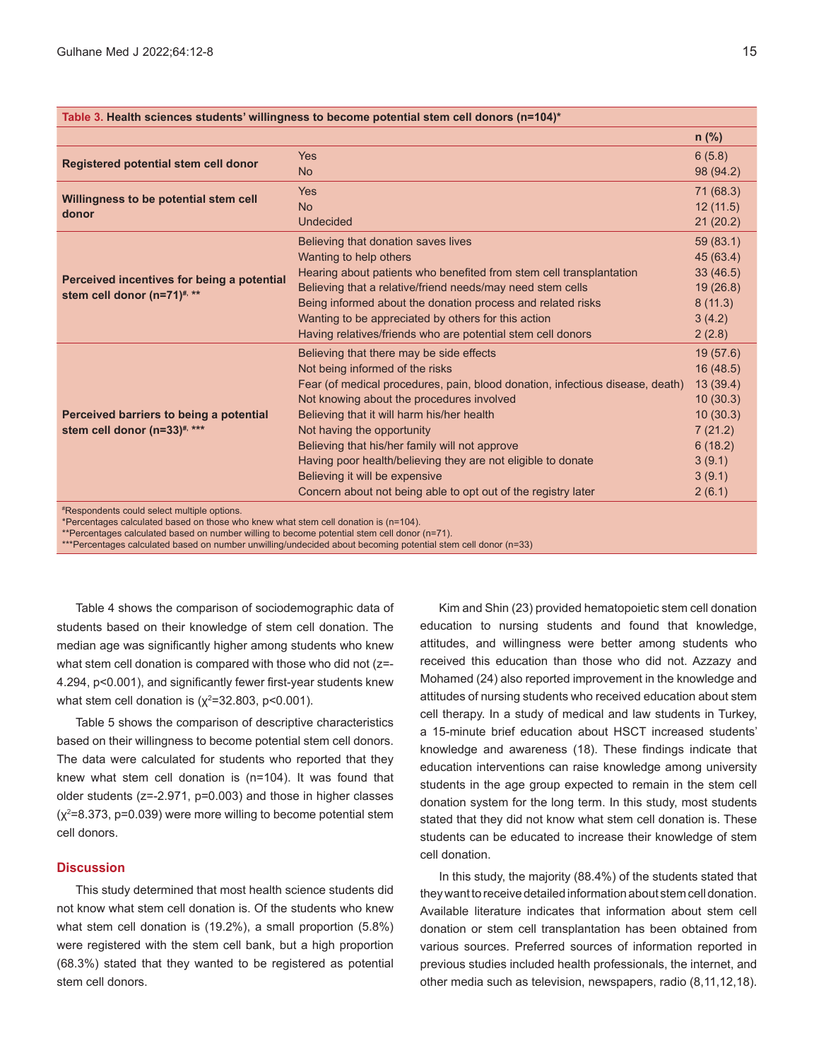| Table 3. Health sciences students' willingness to become potential stem cell donors (n=104)*                                                                                                                                                                                                                          |                                                                                                                                                                                                                                                                                                                                                                                                                                                                                                            |                                                                                                              |  |
|-----------------------------------------------------------------------------------------------------------------------------------------------------------------------------------------------------------------------------------------------------------------------------------------------------------------------|------------------------------------------------------------------------------------------------------------------------------------------------------------------------------------------------------------------------------------------------------------------------------------------------------------------------------------------------------------------------------------------------------------------------------------------------------------------------------------------------------------|--------------------------------------------------------------------------------------------------------------|--|
|                                                                                                                                                                                                                                                                                                                       |                                                                                                                                                                                                                                                                                                                                                                                                                                                                                                            | $n$ (%)                                                                                                      |  |
| Registered potential stem cell donor                                                                                                                                                                                                                                                                                  | <b>Yes</b><br><b>No</b>                                                                                                                                                                                                                                                                                                                                                                                                                                                                                    | 6(5.8)<br>98 (94.2)                                                                                          |  |
| Willingness to be potential stem cell<br>donor                                                                                                                                                                                                                                                                        | <b>Yes</b><br><b>No</b><br><b>Undecided</b>                                                                                                                                                                                                                                                                                                                                                                                                                                                                | 71 (68.3)<br>12(11.5)<br>21(20.2)                                                                            |  |
| Perceived incentives for being a potential<br>stem cell donor (n=71) <sup>#, **</sup>                                                                                                                                                                                                                                 | Believing that donation saves lives<br>Wanting to help others<br>Hearing about patients who benefited from stem cell transplantation<br>Believing that a relative/friend needs/may need stem cells<br>Being informed about the donation process and related risks<br>Wanting to be appreciated by others for this action<br>Having relatives/friends who are potential stem cell donors                                                                                                                    | 59 (83.1)<br>45 (63.4)<br>33(46.5)<br>19(26.8)<br>8(11.3)<br>3(4.2)<br>2(2.8)                                |  |
| Perceived barriers to being a potential<br>stem cell donor (n=33) <sup>#, ***</sup><br>#Designationals.com and the state of the state of the state of the state of the state of the state of the state of the state of the state of the state of the state of the state of the state of the state of the state of the | Believing that there may be side effects<br>Not being informed of the risks<br>Fear (of medical procedures, pain, blood donation, infectious disease, death)<br>Not knowing about the procedures involved<br>Believing that it will harm his/her health<br>Not having the opportunity<br>Believing that his/her family will not approve<br>Having poor health/believing they are not eligible to donate<br>Believing it will be expensive<br>Concern about not being able to opt out of the registry later | 19(57.6)<br>16(48.5)<br>13(39.4)<br>10(30.3)<br>10(30.3)<br>7(21.2)<br>6(18.2)<br>3(9.1)<br>3(9.1)<br>2(6.1) |  |

# option

\*Percentages calculated based on those who knew what stem cell donation is (n=104).

\*\*Percentages calculated based on number willing to become potential stem cell donor (n=71).

\*\*\*Percentages calculated based on number unwilling/undecided about becoming potential stem cell donor (n=33)

Table 4 shows the comparison of sociodemographic data of students based on their knowledge of stem cell donation. The median age was significantly higher among students who knew what stem cell donation is compared with those who did not (z=- 4.294, p<0.001), and significantly fewer first-year students knew what stem cell donation is (χ<sup>2</sup>=32.803, p<0.001).

Table 5 shows the comparison of descriptive characteristics based on their willingness to become potential stem cell donors. The data were calculated for students who reported that they knew what stem cell donation is (n=104). It was found that older students (z=-2.971, p=0.003) and those in higher classes  $(x^2=8.373, p=0.039)$  were more willing to become potential stem cell donors.

# **Discussion**

This study determined that most health science students did not know what stem cell donation is. Of the students who knew what stem cell donation is (19.2%), a small proportion (5.8%) were registered with the stem cell bank, but a high proportion (68.3%) stated that they wanted to be registered as potential stem cell donors.

Kim and Shin (23) provided hematopoietic stem cell donation education to nursing students and found that knowledge, attitudes, and willingness were better among students who received this education than those who did not. Azzazy and Mohamed (24) also reported improvement in the knowledge and attitudes of nursing students who received education about stem cell therapy. In a study of medical and law students in Turkey, a 15-minute brief education about HSCT increased students' knowledge and awareness (18). These findings indicate that education interventions can raise knowledge among university students in the age group expected to remain in the stem cell donation system for the long term. In this study, most students stated that they did not know what stem cell donation is. These students can be educated to increase their knowledge of stem cell donation.

In this study, the majority (88.4%) of the students stated that they want to receive detailed information about stem cell donation. Available literature indicates that information about stem cell donation or stem cell transplantation has been obtained from various sources. Preferred sources of information reported in previous studies included health professionals, the internet, and other media such as television, newspapers, radio (8,11,12,18).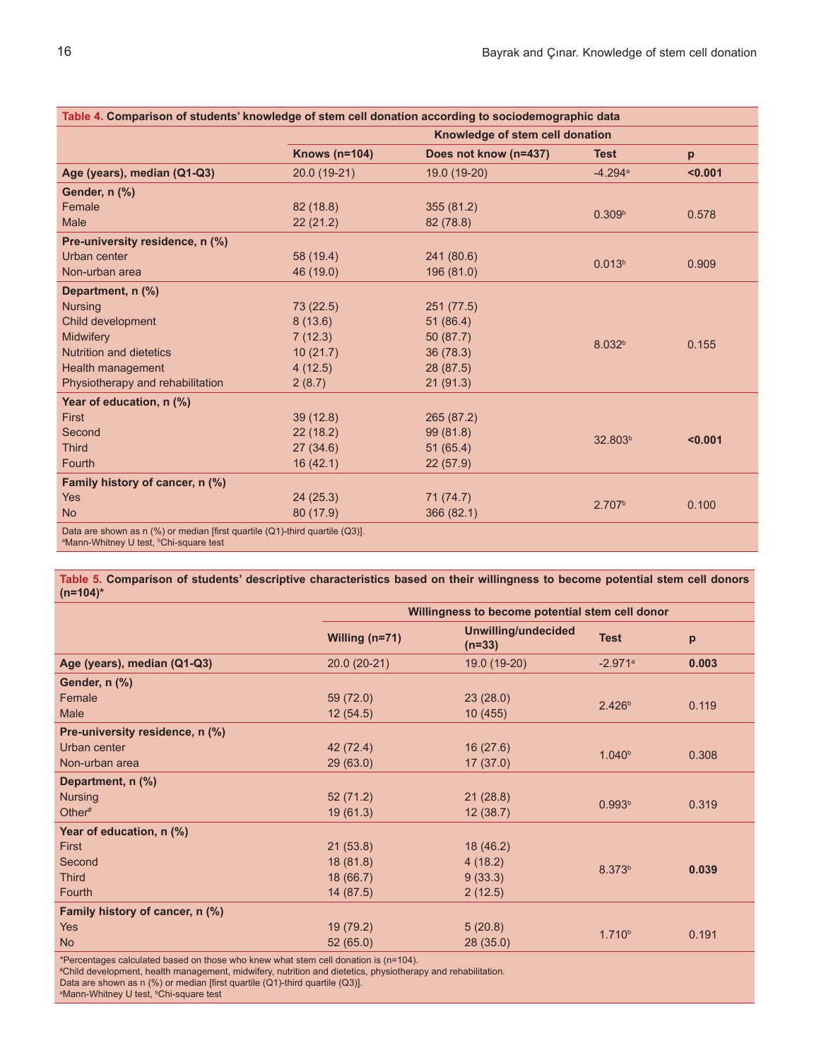| Table 4. Comparison of students' knowledge of stem cell donation according to sociodemographic data                                            |                                 |                       |                     |         |
|------------------------------------------------------------------------------------------------------------------------------------------------|---------------------------------|-----------------------|---------------------|---------|
|                                                                                                                                                | Knowledge of stem cell donation |                       |                     |         |
|                                                                                                                                                | <b>Knows (n=104)</b>            | Does not know (n=437) | <b>Test</b>         | p       |
| Age (years), median (Q1-Q3)                                                                                                                    | 20.0 (19-21)                    | 19.0 (19-20)          | $-4.294a$           | < 0.001 |
| Gender, n (%)                                                                                                                                  |                                 |                       |                     |         |
| Female                                                                                                                                         | 82 (18.8)                       | 355(81.2)             | 0.309 <sup>b</sup>  | 0.578   |
| <b>Male</b>                                                                                                                                    | 22(21.2)                        | 82 (78.8)             |                     |         |
| Pre-university residence, n (%)                                                                                                                |                                 |                       |                     |         |
| Urban center                                                                                                                                   | 58 (19.4)                       | 241 (80.6)            | 0.013 <sup>b</sup>  |         |
| Non-urban area                                                                                                                                 | 46 (19.0)                       | 196 (81.0)            |                     | 0.909   |
| Department, n (%)                                                                                                                              |                                 |                       |                     |         |
| <b>Nursing</b>                                                                                                                                 | 73(22.5)                        | 251 (77.5)            |                     |         |
| Child development                                                                                                                              | 8(13.6)                         | 51(86.4)              |                     |         |
| <b>Midwifery</b>                                                                                                                               | 7(12.3)                         | 50(87.7)              | 8.032 <sup>b</sup>  | 0.155   |
| <b>Nutrition and dietetics</b>                                                                                                                 | 10(21.7)                        | 36(78.3)              |                     |         |
| <b>Health management</b>                                                                                                                       | 4(12.5)                         | 28 (87.5)             |                     |         |
| Physiotherapy and rehabilitation                                                                                                               | 2(8.7)                          | 21(91.3)              |                     |         |
| Year of education, n (%)                                                                                                                       |                                 |                       |                     |         |
| <b>First</b>                                                                                                                                   | 39(12.8)                        | 265 (87.2)            |                     |         |
| Second                                                                                                                                         | 22(18.2)                        | 99 (81.8)             | 32.803 <sup>b</sup> | < 0.001 |
| <b>Third</b>                                                                                                                                   | 27(34.6)                        | 51(65.4)              |                     |         |
| Fourth                                                                                                                                         | 16(42.1)                        | 22(57.9)              |                     |         |
| Family history of cancer, n (%)                                                                                                                |                                 |                       |                     |         |
| <b>Yes</b>                                                                                                                                     | 24(25.3)                        | 71 (74.7)             | 2.707 <sup>b</sup>  |         |
| <b>No</b>                                                                                                                                      | 80 (17.9)                       | 366 (82.1)            |                     | 0.100   |
| Data are shown as n (%) or median [first quartile (Q1)-third quartile (Q3)].<br><sup>a</sup> Mann-Whitney U test, <sup>b</sup> Chi-square test |                                 |                       |                     |         |

**Table 5. Comparison of students' descriptive characteristics based on their willingness to become potential stem cell donors (n=104)\***

|                                 | Willingness to become potential stem cell donor |                                        |                       |       |
|---------------------------------|-------------------------------------------------|----------------------------------------|-----------------------|-------|
|                                 | Willing $(n=71)$                                | <b>Unwilling/undecided</b><br>$(n=33)$ | <b>Test</b>           | p     |
| Age (years), median (Q1-Q3)     | $20.0(20-21)$                                   | 19.0 (19-20)                           | $-2.971$ <sup>a</sup> | 0.003 |
| Gender, n (%)                   |                                                 |                                        |                       |       |
| Female                          | 59 (72.0)                                       | 23(28.0)                               | 2.426 <sup>b</sup>    | 0.119 |
| <b>Male</b>                     | 12(54.5)                                        | 10(455)                                |                       |       |
| Pre-university residence, n (%) |                                                 |                                        |                       |       |
| Urban center                    | 42 (72.4)                                       | 16(27.6)                               | 1.040 <sup>b</sup>    | 0.308 |
| Non-urban area                  | 29(63.0)                                        | 17(37.0)                               |                       |       |
| Department, n (%)               |                                                 |                                        |                       |       |
| <b>Nursing</b>                  | 52(71.2)                                        | 21(28.8)                               | 0.993 <sup>b</sup>    | 0.319 |
| Other $#$                       | 19(61.3)                                        | 12(38.7)                               |                       |       |
| Year of education, n (%)        |                                                 |                                        |                       |       |
| First                           | 21(53.8)                                        | 18(46.2)                               |                       | 0.039 |
| Second                          | 18 (81.8)                                       | 4(18.2)                                | 8.373 <sup>b</sup>    |       |
| <b>Third</b>                    | 18 (66.7)                                       | 9(33.3)                                |                       |       |
| Fourth                          | 14(87.5)                                        | 2(12.5)                                |                       |       |
| Family history of cancer, n (%) |                                                 |                                        |                       |       |
| <b>Yes</b>                      | 19 (79.2)                                       | 5(20.8)                                | 1.710 <sup>b</sup>    | 0.191 |
| N <sub>o</sub>                  | 52(65.0)                                        | 28(35.0)                               |                       |       |
|                                 |                                                 |                                        |                       |       |

\*Percentages calculated based on those who knew what stem cell donation is (n=104). # Child development, health management, midwifery, nutrition and dietetics, physiotherapy and rehabilitation.

Data are shown as n (%) or median [first quartile (Q1)-third quartile (Q3)]. a Mann-Whitney U test, b Chi-square test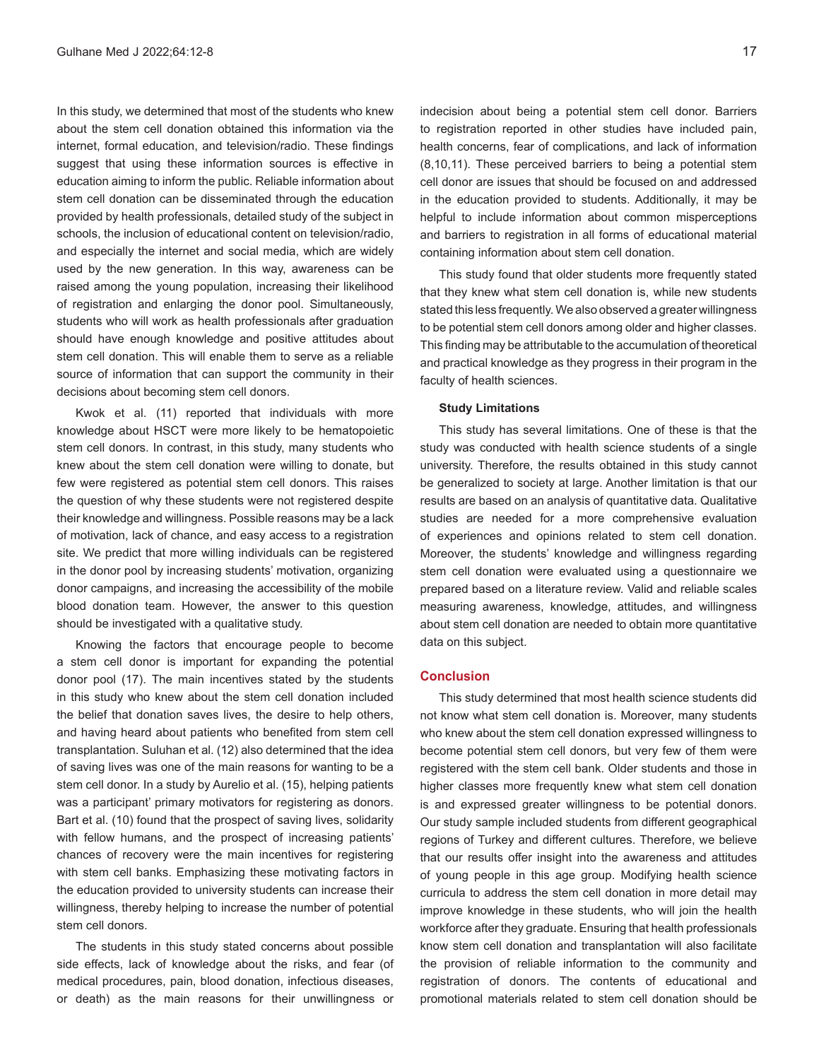In this study, we determined that most of the students who knew about the stem cell donation obtained this information via the internet, formal education, and television/radio. These findings suggest that using these information sources is effective in education aiming to inform the public. Reliable information about stem cell donation can be disseminated through the education provided by health professionals, detailed study of the subject in schools, the inclusion of educational content on television/radio, and especially the internet and social media, which are widely used by the new generation. In this way, awareness can be raised among the young population, increasing their likelihood of registration and enlarging the donor pool. Simultaneously, students who will work as health professionals after graduation should have enough knowledge and positive attitudes about stem cell donation. This will enable them to serve as a reliable source of information that can support the community in their decisions about becoming stem cell donors.

Kwok et al. (11) reported that individuals with more knowledge about HSCT were more likely to be hematopoietic stem cell donors. In contrast, in this study, many students who knew about the stem cell donation were willing to donate, but few were registered as potential stem cell donors. This raises the question of why these students were not registered despite their knowledge and willingness. Possible reasons may be a lack of motivation, lack of chance, and easy access to a registration site. We predict that more willing individuals can be registered in the donor pool by increasing students' motivation, organizing donor campaigns, and increasing the accessibility of the mobile blood donation team. However, the answer to this question should be investigated with a qualitative study.

Knowing the factors that encourage people to become a stem cell donor is important for expanding the potential donor pool (17). The main incentives stated by the students in this study who knew about the stem cell donation included the belief that donation saves lives, the desire to help others, and having heard about patients who benefited from stem cell transplantation. Suluhan et al. (12) also determined that the idea of saving lives was one of the main reasons for wanting to be a stem cell donor. In a study by Aurelio et al. (15), helping patients was a participant' primary motivators for registering as donors. Bart et al. (10) found that the prospect of saving lives, solidarity with fellow humans, and the prospect of increasing patients' chances of recovery were the main incentives for registering with stem cell banks. Emphasizing these motivating factors in the education provided to university students can increase their willingness, thereby helping to increase the number of potential stem cell donors.

The students in this study stated concerns about possible side effects, lack of knowledge about the risks, and fear (of medical procedures, pain, blood donation, infectious diseases, or death) as the main reasons for their unwillingness or

indecision about being a potential stem cell donor. Barriers to registration reported in other studies have included pain, health concerns, fear of complications, and lack of information (8,10,11). These perceived barriers to being a potential stem cell donor are issues that should be focused on and addressed in the education provided to students. Additionally, it may be helpful to include information about common misperceptions and barriers to registration in all forms of educational material containing information about stem cell donation.

This study found that older students more frequently stated that they knew what stem cell donation is, while new students stated this less frequently. We also observed a greater willingness to be potential stem cell donors among older and higher classes. This finding may be attributable to the accumulation of theoretical and practical knowledge as they progress in their program in the faculty of health sciences.

#### **Study Limitations**

This study has several limitations. One of these is that the study was conducted with health science students of a single university. Therefore, the results obtained in this study cannot be generalized to society at large. Another limitation is that our results are based on an analysis of quantitative data. Qualitative studies are needed for a more comprehensive evaluation of experiences and opinions related to stem cell donation. Moreover, the students' knowledge and willingness regarding stem cell donation were evaluated using a questionnaire we prepared based on a literature review. Valid and reliable scales measuring awareness, knowledge, attitudes, and willingness about stem cell donation are needed to obtain more quantitative data on this subject.

# **Conclusion**

This study determined that most health science students did not know what stem cell donation is. Moreover, many students who knew about the stem cell donation expressed willingness to become potential stem cell donors, but very few of them were registered with the stem cell bank. Older students and those in higher classes more frequently knew what stem cell donation is and expressed greater willingness to be potential donors. Our study sample included students from different geographical regions of Turkey and different cultures. Therefore, we believe that our results offer insight into the awareness and attitudes of young people in this age group. Modifying health science curricula to address the stem cell donation in more detail may improve knowledge in these students, who will join the health workforce after they graduate. Ensuring that health professionals know stem cell donation and transplantation will also facilitate the provision of reliable information to the community and registration of donors. The contents of educational and promotional materials related to stem cell donation should be